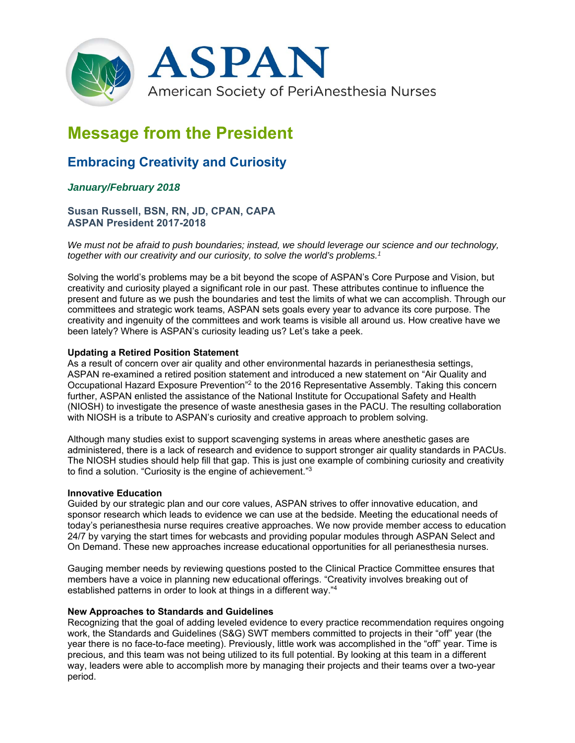

# **Message from the President**

## **Embracing Creativity and Curiosity**

### *January/February 2018*

#### **Susan Russell, BSN, RN, JD, CPAN, CAPA ASPAN President 2017-2018**

*We must not be afraid to push boundaries; instead, we should leverage our science and our technology, together with our creativity and our curiosity, to solve the world's problems.1*

Solving the world's problems may be a bit beyond the scope of ASPAN's Core Purpose and Vision, but creativity and curiosity played a significant role in our past. These attributes continue to influence the present and future as we push the boundaries and test the limits of what we can accomplish. Through our committees and strategic work teams, ASPAN sets goals every year to advance its core purpose. The creativity and ingenuity of the committees and work teams is visible all around us. How creative have we been lately? Where is ASPAN's curiosity leading us? Let's take a peek.

#### **Updating a Retired Position Statement**

As a result of concern over air quality and other environmental hazards in perianesthesia settings, ASPAN re-examined a retired position statement and introduced a new statement on "Air Quality and Occupational Hazard Exposure Prevention"2 to the 2016 Representative Assembly. Taking this concern further, ASPAN enlisted the assistance of the National Institute for Occupational Safety and Health (NIOSH) to investigate the presence of waste anesthesia gases in the PACU. The resulting collaboration with NIOSH is a tribute to ASPAN's curiosity and creative approach to problem solving.

Although many studies exist to support scavenging systems in areas where anesthetic gases are administered, there is a lack of research and evidence to support stronger air quality standards in PACUs. The NIOSH studies should help fill that gap. This is just one example of combining curiosity and creativity to find a solution. "Curiosity is the engine of achievement."3

#### **Innovative Education**

Guided by our strategic plan and our core values, ASPAN strives to offer innovative education, and sponsor research which leads to evidence we can use at the bedside. Meeting the educational needs of today's perianesthesia nurse requires creative approaches. We now provide member access to education 24/7 by varying the start times for webcasts and providing popular modules through ASPAN Select and On Demand. These new approaches increase educational opportunities for all perianesthesia nurses.

Gauging member needs by reviewing questions posted to the Clinical Practice Committee ensures that members have a voice in planning new educational offerings. "Creativity involves breaking out of established patterns in order to look at things in a different way."4

#### **New Approaches to Standards and Guidelines**

Recognizing that the goal of adding leveled evidence to every practice recommendation requires ongoing work, the Standards and Guidelines (S&G) SWT members committed to projects in their "off" year (the year there is no face-to-face meeting). Previously, little work was accomplished in the "off" year. Time is precious, and this team was not being utilized to its full potential. By looking at this team in a different way, leaders were able to accomplish more by managing their projects and their teams over a two-year period.